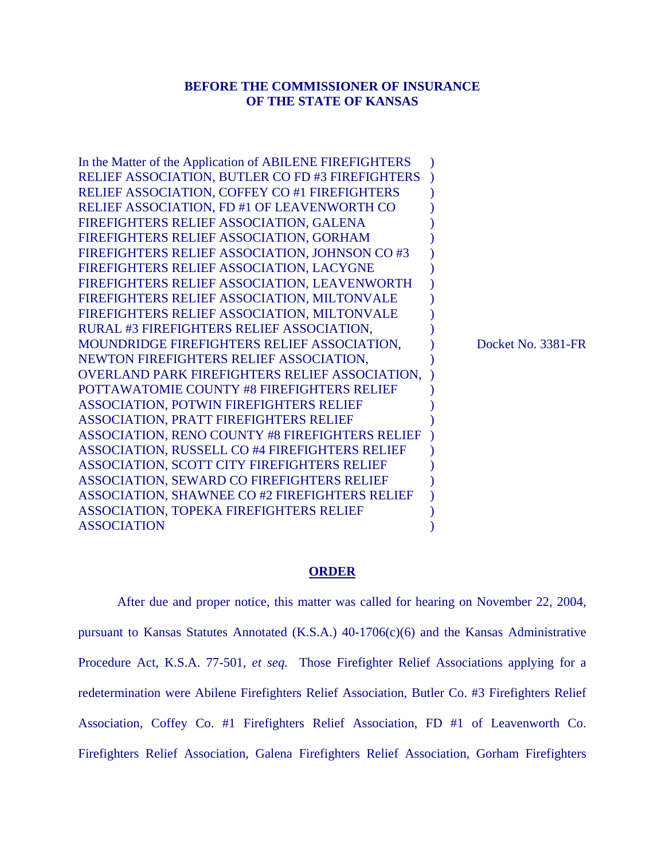# **BEFORE THE COMMISSIONER OF INSURANCE OF THE STATE OF KANSAS**

| In the Matter of the Application of ABILENE FIREFIGHTERS |   |
|----------------------------------------------------------|---|
| RELIEF ASSOCIATION, BUTLER CO FD #3 FIREFIGHTERS         |   |
| <b>RELIEF ASSOCIATION, COFFEY CO #1 FIREFIGHTERS</b>     |   |
| RELIEF ASSOCIATION, FD #1 OF LEAVENWORTH CO              |   |
| FIREFIGHTERS RELIEF ASSOCIATION, GALENA                  |   |
| FIREFIGHTERS RELIEF ASSOCIATION, GORHAM                  |   |
| FIREFIGHTERS RELIEF ASSOCIATION, JOHNSON CO #3           |   |
| FIREFIGHTERS RELIEF ASSOCIATION, LACYGNE                 |   |
| FIREFIGHTERS RELIEF ASSOCIATION, LEAVENWORTH             |   |
| FIREFIGHTERS RELIEF ASSOCIATION, MILTONVALE              |   |
| FIREFIGHTERS RELIEF ASSOCIATION, MILTONVALE              |   |
| RURAL #3 FIREFIGHTERS RELIEF ASSOCIATION,                |   |
| MOUNDRIDGE FIREFIGHTERS RELIEF ASSOCIATION,              | D |
| NEWTON FIREFIGHTERS RELIEF ASSOCIATION,                  |   |
| <b>OVERLAND PARK FIREFIGHTERS RELIEF ASSOCIATION,</b>    |   |
| POTTAWATOMIE COUNTY #8 FIREFIGHTERS RELIEF               |   |
| <b>ASSOCIATION, POTWIN FIREFIGHTERS RELIEF</b>           |   |
| <b>ASSOCIATION, PRATT FIREFIGHTERS RELIEF</b>            |   |
| <b>ASSOCIATION, RENO COUNTY #8 FIREFIGHTERS RELIEF</b>   |   |
| ASSOCIATION, RUSSELL CO #4 FIREFIGHTERS RELIEF           |   |
| ASSOCIATION, SCOTT CITY FIREFIGHTERS RELIEF              |   |
| ASSOCIATION, SEWARD CO FIREFIGHTERS RELIEF               |   |
| ASSOCIATION, SHAWNEE CO #2 FIREFIGHTERS RELIEF           |   |
| <b>ASSOCIATION, TOPEKA FIREFIGHTERS RELIEF</b>           |   |
| <b>ASSOCIATION</b>                                       |   |

ocket No. 3381-FR

# **ORDER**

 After due and proper notice, this matter was called for hearing on November 22, 2004, pursuant to Kansas Statutes Annotated (K.S.A.)  $40-1706(c)(6)$  and the Kansas Administrative Procedure Act, K.S.A. 77-501, *et seq.* Those Firefighter Relief Associations applying for a redetermination were Abilene Firefighters Relief Association, Butler Co. #3 Firefighters Relief Association, Coffey Co. #1 Firefighters Relief Association, FD #1 of Leavenworth Co. Firefighters Relief Association, Galena Firefighters Relief Association, Gorham Firefighters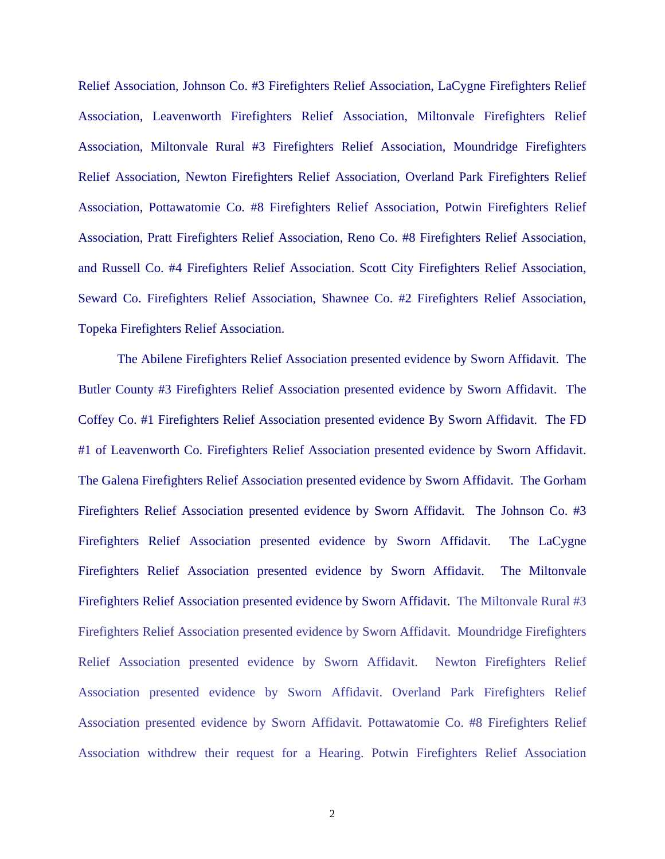Relief Association, Johnson Co. #3 Firefighters Relief Association, LaCygne Firefighters Relief Association, Leavenworth Firefighters Relief Association, Miltonvale Firefighters Relief Association, Miltonvale Rural #3 Firefighters Relief Association, Moundridge Firefighters Relief Association, Newton Firefighters Relief Association, Overland Park Firefighters Relief Association, Pottawatomie Co. #8 Firefighters Relief Association, Potwin Firefighters Relief Association, Pratt Firefighters Relief Association, Reno Co. #8 Firefighters Relief Association, and Russell Co. #4 Firefighters Relief Association. Scott City Firefighters Relief Association, Seward Co. Firefighters Relief Association, Shawnee Co. #2 Firefighters Relief Association, Topeka Firefighters Relief Association.

The Abilene Firefighters Relief Association presented evidence by Sworn Affidavit. The Butler County #3 Firefighters Relief Association presented evidence by Sworn Affidavit. The Coffey Co. #1 Firefighters Relief Association presented evidence By Sworn Affidavit. The FD #1 of Leavenworth Co. Firefighters Relief Association presented evidence by Sworn Affidavit. The Galena Firefighters Relief Association presented evidence by Sworn Affidavit. The Gorham Firefighters Relief Association presented evidence by Sworn Affidavit. The Johnson Co. #3 Firefighters Relief Association presented evidence by Sworn Affidavit. The LaCygne Firefighters Relief Association presented evidence by Sworn Affidavit. The Miltonvale Firefighters Relief Association presented evidence by Sworn Affidavit. The Miltonvale Rural #3 Firefighters Relief Association presented evidence by Sworn Affidavit. Moundridge Firefighters Relief Association presented evidence by Sworn Affidavit. Newton Firefighters Relief Association presented evidence by Sworn Affidavit. Overland Park Firefighters Relief Association presented evidence by Sworn Affidavit. Pottawatomie Co. #8 Firefighters Relief Association withdrew their request for a Hearing. Potwin Firefighters Relief Association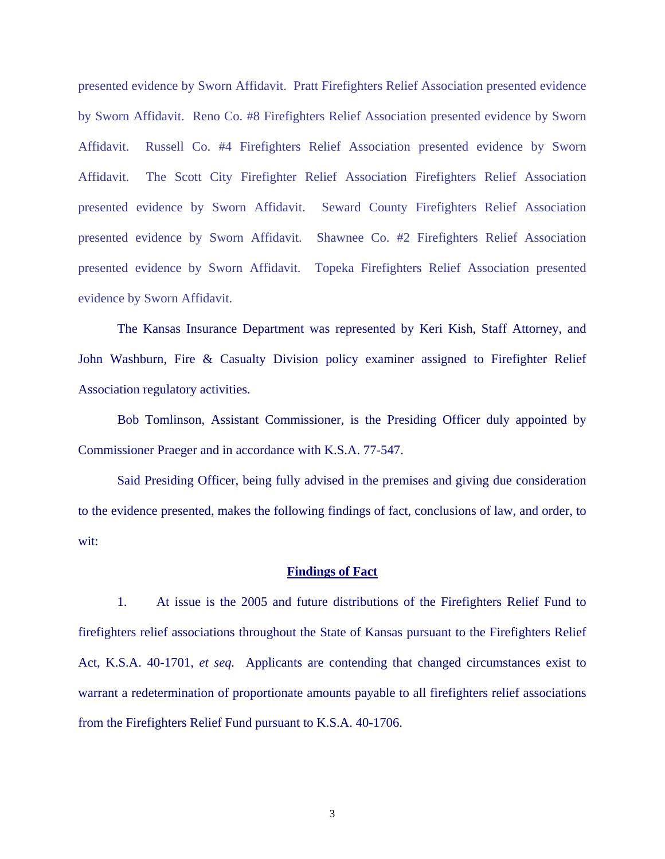presented evidence by Sworn Affidavit. Pratt Firefighters Relief Association presented evidence by Sworn Affidavit. Reno Co. #8 Firefighters Relief Association presented evidence by Sworn Affidavit. Russell Co. #4 Firefighters Relief Association presented evidence by Sworn Affidavit. The Scott City Firefighter Relief Association Firefighters Relief Association presented evidence by Sworn Affidavit. Seward County Firefighters Relief Association presented evidence by Sworn Affidavit. Shawnee Co. #2 Firefighters Relief Association presented evidence by Sworn Affidavit. Topeka Firefighters Relief Association presented evidence by Sworn Affidavit.

 The Kansas Insurance Department was represented by Keri Kish, Staff Attorney, and John Washburn, Fire & Casualty Division policy examiner assigned to Firefighter Relief Association regulatory activities.

 Bob Tomlinson, Assistant Commissioner, is the Presiding Officer duly appointed by Commissioner Praeger and in accordance with K.S.A. 77-547.

 Said Presiding Officer, being fully advised in the premises and giving due consideration to the evidence presented, makes the following findings of fact, conclusions of law, and order, to wit:

# **Findings of Fact**

 1. At issue is the 2005 and future distributions of the Firefighters Relief Fund to firefighters relief associations throughout the State of Kansas pursuant to the Firefighters Relief Act, K.S.A. 40-1701, *et seq.* Applicants are contending that changed circumstances exist to warrant a redetermination of proportionate amounts payable to all firefighters relief associations from the Firefighters Relief Fund pursuant to K.S.A. 40-1706.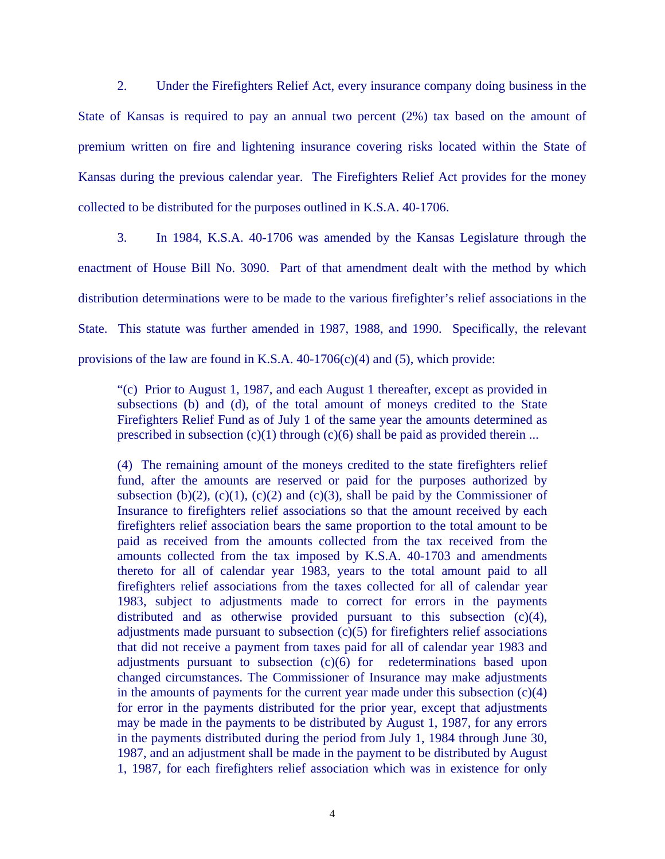2. Under the Firefighters Relief Act, every insurance company doing business in the State of Kansas is required to pay an annual two percent (2%) tax based on the amount of premium written on fire and lightening insurance covering risks located within the State of Kansas during the previous calendar year. The Firefighters Relief Act provides for the money collected to be distributed for the purposes outlined in K.S.A. 40-1706.

 3. In 1984, K.S.A. 40-1706 was amended by the Kansas Legislature through the enactment of House Bill No. 3090. Part of that amendment dealt with the method by which distribution determinations were to be made to the various firefighter's relief associations in the State. This statute was further amended in 1987, 1988, and 1990. Specifically, the relevant provisions of the law are found in K.S.A.  $40-1706(c)(4)$  and  $(5)$ , which provide:

"(c) Prior to August 1, 1987, and each August 1 thereafter, except as provided in subsections (b) and (d), of the total amount of moneys credited to the State Firefighters Relief Fund as of July 1 of the same year the amounts determined as prescribed in subsection  $(c)(1)$  through  $(c)(6)$  shall be paid as provided therein ...

(4) The remaining amount of the moneys credited to the state firefighters relief fund, after the amounts are reserved or paid for the purposes authorized by subsection (b)(2), (c)(1), (c)(2) and (c)(3), shall be paid by the Commissioner of Insurance to firefighters relief associations so that the amount received by each firefighters relief association bears the same proportion to the total amount to be paid as received from the amounts collected from the tax received from the amounts collected from the tax imposed by K.S.A. 40-1703 and amendments thereto for all of calendar year 1983, years to the total amount paid to all firefighters relief associations from the taxes collected for all of calendar year 1983, subject to adjustments made to correct for errors in the payments distributed and as otherwise provided pursuant to this subsection (c)(4), adjustments made pursuant to subsection (c)(5) for firefighters relief associations that did not receive a payment from taxes paid for all of calendar year 1983 and adjustments pursuant to subsection (c)(6) for redeterminations based upon changed circumstances. The Commissioner of Insurance may make adjustments in the amounts of payments for the current year made under this subsection (c)(4) for error in the payments distributed for the prior year, except that adjustments may be made in the payments to be distributed by August 1, 1987, for any errors in the payments distributed during the period from July 1, 1984 through June 30, 1987, and an adjustment shall be made in the payment to be distributed by August 1, 1987, for each firefighters relief association which was in existence for only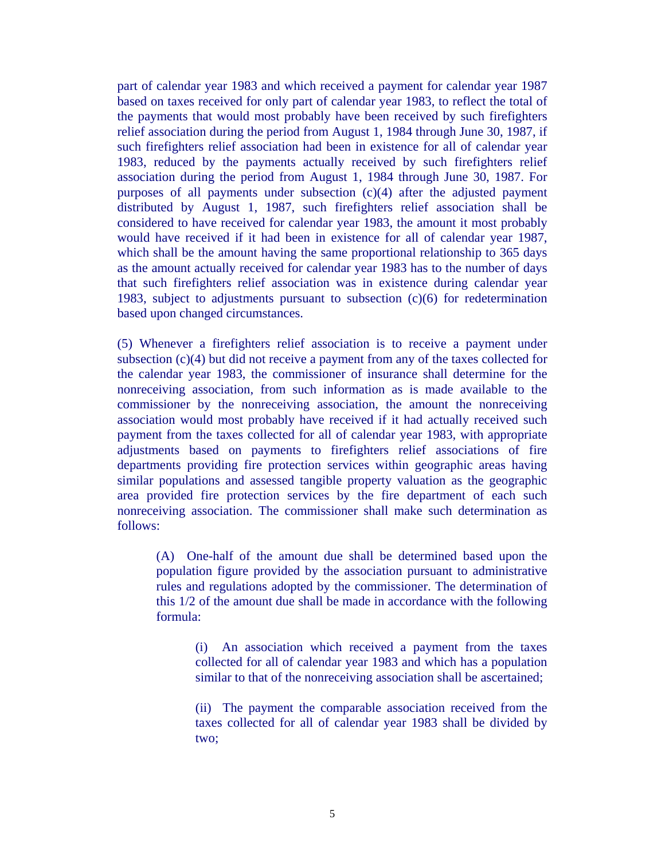part of calendar year 1983 and which received a payment for calendar year 1987 based on taxes received for only part of calendar year 1983, to reflect the total of the payments that would most probably have been received by such firefighters relief association during the period from August 1, 1984 through June 30, 1987, if such firefighters relief association had been in existence for all of calendar year 1983, reduced by the payments actually received by such firefighters relief association during the period from August 1, 1984 through June 30, 1987. For purposes of all payments under subsection (c)(4) after the adjusted payment distributed by August 1, 1987, such firefighters relief association shall be considered to have received for calendar year 1983, the amount it most probably would have received if it had been in existence for all of calendar year 1987, which shall be the amount having the same proportional relationship to 365 days as the amount actually received for calendar year 1983 has to the number of days that such firefighters relief association was in existence during calendar year 1983, subject to adjustments pursuant to subsection (c)(6) for redetermination based upon changed circumstances.

(5) Whenever a firefighters relief association is to receive a payment under subsection (c)(4) but did not receive a payment from any of the taxes collected for the calendar year 1983, the commissioner of insurance shall determine for the nonreceiving association, from such information as is made available to the commissioner by the nonreceiving association, the amount the nonreceiving association would most probably have received if it had actually received such payment from the taxes collected for all of calendar year 1983, with appropriate adjustments based on payments to firefighters relief associations of fire departments providing fire protection services within geographic areas having similar populations and assessed tangible property valuation as the geographic area provided fire protection services by the fire department of each such nonreceiving association. The commissioner shall make such determination as follows:

(A) One-half of the amount due shall be determined based upon the population figure provided by the association pursuant to administrative rules and regulations adopted by the commissioner. The determination of this 1/2 of the amount due shall be made in accordance with the following formula:

> (i) An association which received a payment from the taxes collected for all of calendar year 1983 and which has a population similar to that of the nonreceiving association shall be ascertained;

> (ii) The payment the comparable association received from the taxes collected for all of calendar year 1983 shall be divided by two;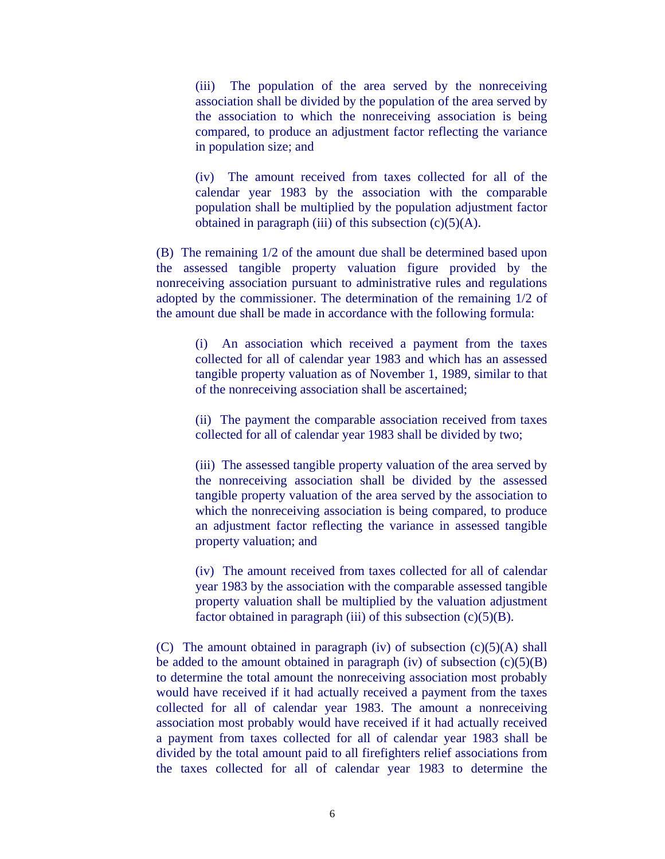(iii) The population of the area served by the nonreceiving association shall be divided by the population of the area served by the association to which the nonreceiving association is being compared, to produce an adjustment factor reflecting the variance in population size; and

(iv) The amount received from taxes collected for all of the calendar year 1983 by the association with the comparable population shall be multiplied by the population adjustment factor obtained in paragraph (iii) of this subsection  $(c)(5)(A)$ .

(B) The remaining 1/2 of the amount due shall be determined based upon the assessed tangible property valuation figure provided by the nonreceiving association pursuant to administrative rules and regulations adopted by the commissioner. The determination of the remaining 1/2 of the amount due shall be made in accordance with the following formula:

(i) An association which received a payment from the taxes collected for all of calendar year 1983 and which has an assessed tangible property valuation as of November 1, 1989, similar to that of the nonreceiving association shall be ascertained;

(ii) The payment the comparable association received from taxes collected for all of calendar year 1983 shall be divided by two;

(iii) The assessed tangible property valuation of the area served by the nonreceiving association shall be divided by the assessed tangible property valuation of the area served by the association to which the nonreceiving association is being compared, to produce an adjustment factor reflecting the variance in assessed tangible property valuation; and

(iv) The amount received from taxes collected for all of calendar year 1983 by the association with the comparable assessed tangible property valuation shall be multiplied by the valuation adjustment factor obtained in paragraph (iii) of this subsection  $(c)(5)(B)$ .

(C) The amount obtained in paragraph (iv) of subsection  $(c)(5)(A)$  shall be added to the amount obtained in paragraph (iv) of subsection  $(c)(5)(B)$ to determine the total amount the nonreceiving association most probably would have received if it had actually received a payment from the taxes collected for all of calendar year 1983. The amount a nonreceiving association most probably would have received if it had actually received a payment from taxes collected for all of calendar year 1983 shall be divided by the total amount paid to all firefighters relief associations from the taxes collected for all of calendar year 1983 to determine the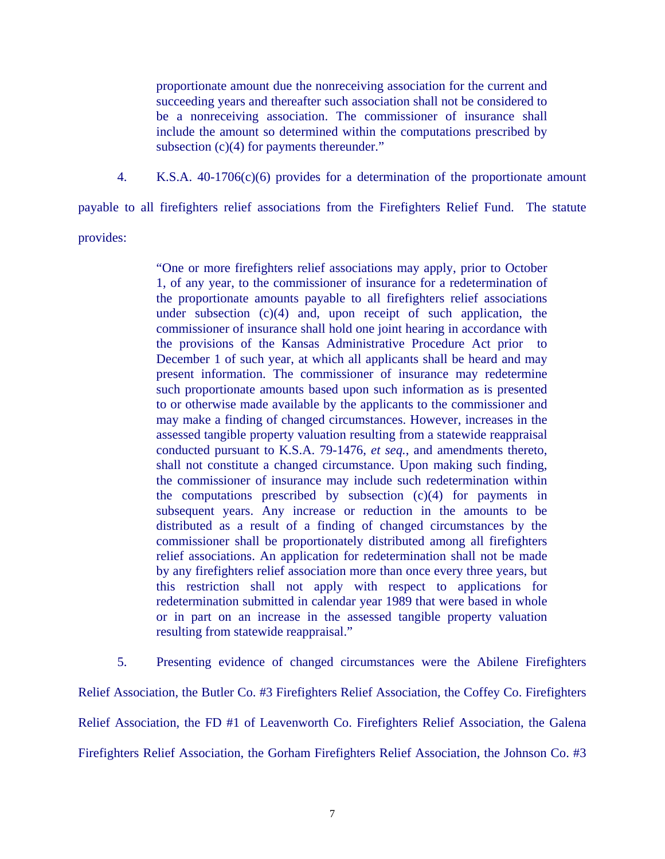proportionate amount due the nonreceiving association for the current and succeeding years and thereafter such association shall not be considered to be a nonreceiving association. The commissioner of insurance shall include the amount so determined within the computations prescribed by subsection (c)(4) for payments thereunder."

4. K.S.A. 40-1706(c)(6) provides for a determination of the proportionate amount

payable to all firefighters relief associations from the Firefighters Relief Fund. The statute

provides:

"One or more firefighters relief associations may apply, prior to October 1, of any year, to the commissioner of insurance for a redetermination of the proportionate amounts payable to all firefighters relief associations under subsection (c)(4) and, upon receipt of such application, the commissioner of insurance shall hold one joint hearing in accordance with the provisions of the Kansas Administrative Procedure Act prior to December 1 of such year, at which all applicants shall be heard and may present information. The commissioner of insurance may redetermine such proportionate amounts based upon such information as is presented to or otherwise made available by the applicants to the commissioner and may make a finding of changed circumstances. However, increases in the assessed tangible property valuation resulting from a statewide reappraisal conducted pursuant to K.S.A. 79-1476, *et seq.*, and amendments thereto, shall not constitute a changed circumstance. Upon making such finding, the commissioner of insurance may include such redetermination within the computations prescribed by subsection  $(c)(4)$  for payments in subsequent years. Any increase or reduction in the amounts to be distributed as a result of a finding of changed circumstances by the commissioner shall be proportionately distributed among all firefighters relief associations. An application for redetermination shall not be made by any firefighters relief association more than once every three years, but this restriction shall not apply with respect to applications for redetermination submitted in calendar year 1989 that were based in whole or in part on an increase in the assessed tangible property valuation resulting from statewide reappraisal."

 5. Presenting evidence of changed circumstances were the Abilene Firefighters Relief Association, the Butler Co. #3 Firefighters Relief Association, the Coffey Co. Firefighters Relief Association, the FD #1 of Leavenworth Co. Firefighters Relief Association, the Galena Firefighters Relief Association, the Gorham Firefighters Relief Association, the Johnson Co. #3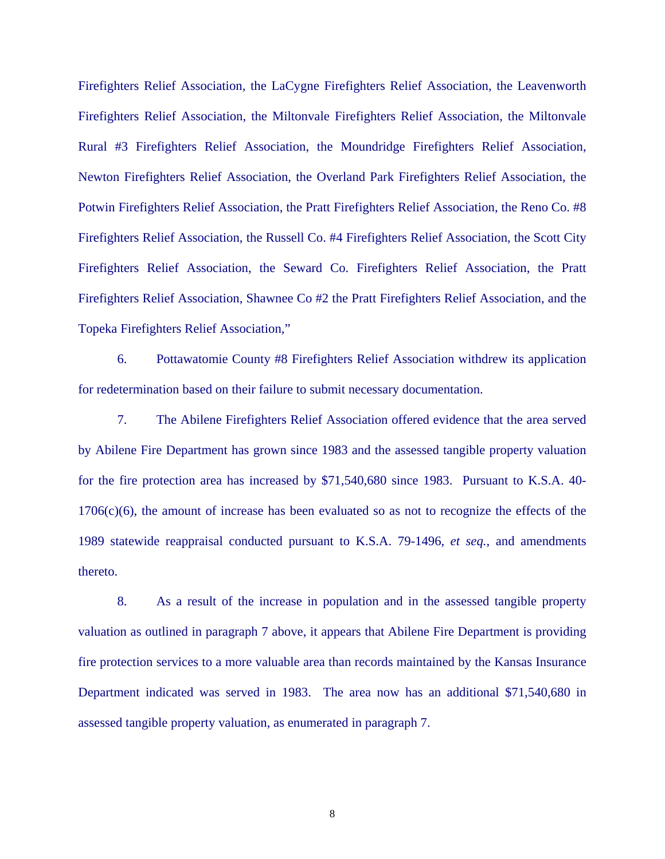Firefighters Relief Association, the LaCygne Firefighters Relief Association, the Leavenworth Firefighters Relief Association, the Miltonvale Firefighters Relief Association, the Miltonvale Rural #3 Firefighters Relief Association, the Moundridge Firefighters Relief Association, Newton Firefighters Relief Association, the Overland Park Firefighters Relief Association, the Potwin Firefighters Relief Association, the Pratt Firefighters Relief Association, the Reno Co. #8 Firefighters Relief Association, the Russell Co. #4 Firefighters Relief Association, the Scott City Firefighters Relief Association, the Seward Co. Firefighters Relief Association, the Pratt Firefighters Relief Association, Shawnee Co #2 the Pratt Firefighters Relief Association, and the Topeka Firefighters Relief Association,"

 6. Pottawatomie County #8 Firefighters Relief Association withdrew its application for redetermination based on their failure to submit necessary documentation.

 7. The Abilene Firefighters Relief Association offered evidence that the area served by Abilene Fire Department has grown since 1983 and the assessed tangible property valuation for the fire protection area has increased by \$71,540,680 since 1983. Pursuant to K.S.A. 40-  $1706(c)(6)$ , the amount of increase has been evaluated so as not to recognize the effects of the 1989 statewide reappraisal conducted pursuant to K.S.A. 79-1496, *et seq.*, and amendments thereto.

 8. As a result of the increase in population and in the assessed tangible property valuation as outlined in paragraph 7 above, it appears that Abilene Fire Department is providing fire protection services to a more valuable area than records maintained by the Kansas Insurance Department indicated was served in 1983. The area now has an additional \$71,540,680 in assessed tangible property valuation, as enumerated in paragraph 7.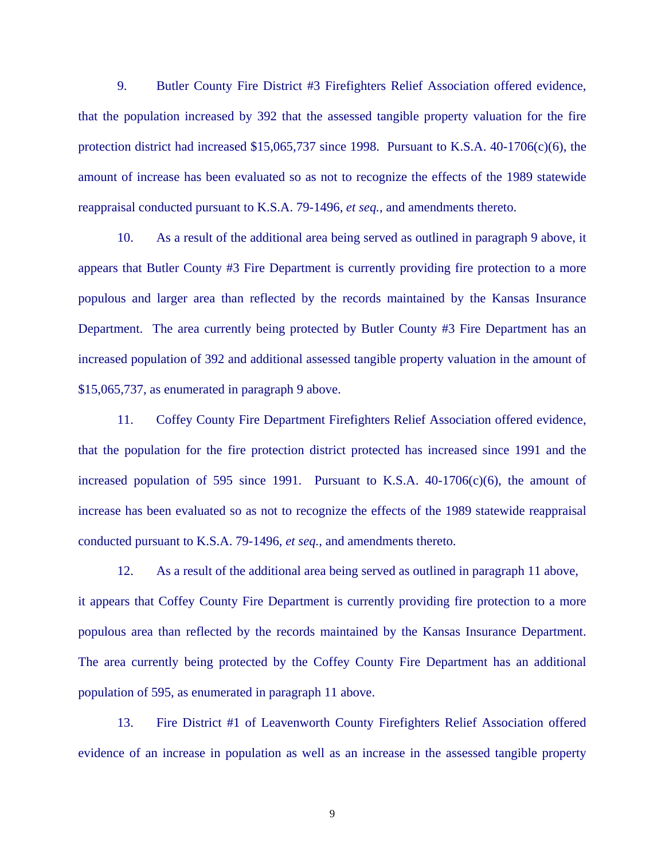9. Butler County Fire District #3 Firefighters Relief Association offered evidence, that the population increased by 392 that the assessed tangible property valuation for the fire protection district had increased  $$15,065,737$  since 1998. Pursuant to K.S.A.  $40-1706(c)(6)$ , the amount of increase has been evaluated so as not to recognize the effects of the 1989 statewide reappraisal conducted pursuant to K.S.A. 79-1496, *et seq.*, and amendments thereto.

 10. As a result of the additional area being served as outlined in paragraph 9 above, it appears that Butler County #3 Fire Department is currently providing fire protection to a more populous and larger area than reflected by the records maintained by the Kansas Insurance Department. The area currently being protected by Butler County #3 Fire Department has an increased population of 392 and additional assessed tangible property valuation in the amount of \$15,065,737, as enumerated in paragraph 9 above.

 11. Coffey County Fire Department Firefighters Relief Association offered evidence, that the population for the fire protection district protected has increased since 1991 and the increased population of 595 since 1991. Pursuant to K.S.A.  $40-1706(c)(6)$ , the amount of increase has been evaluated so as not to recognize the effects of the 1989 statewide reappraisal conducted pursuant to K.S.A. 79-1496, *et seq.*, and amendments thereto.

12. As a result of the additional area being served as outlined in paragraph 11 above, it appears that Coffey County Fire Department is currently providing fire protection to a more populous area than reflected by the records maintained by the Kansas Insurance Department. The area currently being protected by the Coffey County Fire Department has an additional population of 595, as enumerated in paragraph 11 above.

 13. Fire District #1 of Leavenworth County Firefighters Relief Association offered evidence of an increase in population as well as an increase in the assessed tangible property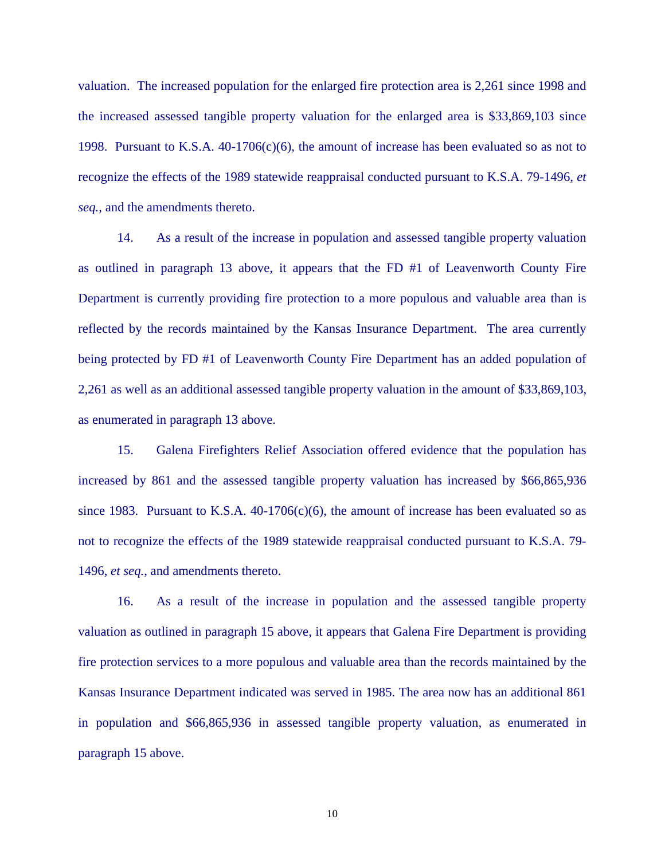valuation. The increased population for the enlarged fire protection area is 2,261 since 1998 and the increased assessed tangible property valuation for the enlarged area is \$33,869,103 since 1998. Pursuant to K.S.A.  $40-1706(c)(6)$ , the amount of increase has been evaluated so as not to recognize the effects of the 1989 statewide reappraisal conducted pursuant to K.S.A. 79-1496, *et seq.*, and the amendments thereto.

 14. As a result of the increase in population and assessed tangible property valuation as outlined in paragraph 13 above, it appears that the FD #1 of Leavenworth County Fire Department is currently providing fire protection to a more populous and valuable area than is reflected by the records maintained by the Kansas Insurance Department. The area currently being protected by FD #1 of Leavenworth County Fire Department has an added population of 2,261 as well as an additional assessed tangible property valuation in the amount of \$33,869,103, as enumerated in paragraph 13 above.

 15. Galena Firefighters Relief Association offered evidence that the population has increased by 861 and the assessed tangible property valuation has increased by \$66,865,936 since 1983. Pursuant to K.S.A.  $40-1706(c)(6)$ , the amount of increase has been evaluated so as not to recognize the effects of the 1989 statewide reappraisal conducted pursuant to K.S.A. 79- 1496, *et seq.*, and amendments thereto.

 16. As a result of the increase in population and the assessed tangible property valuation as outlined in paragraph 15 above, it appears that Galena Fire Department is providing fire protection services to a more populous and valuable area than the records maintained by the Kansas Insurance Department indicated was served in 1985. The area now has an additional 861 in population and \$66,865,936 in assessed tangible property valuation, as enumerated in paragraph 15 above.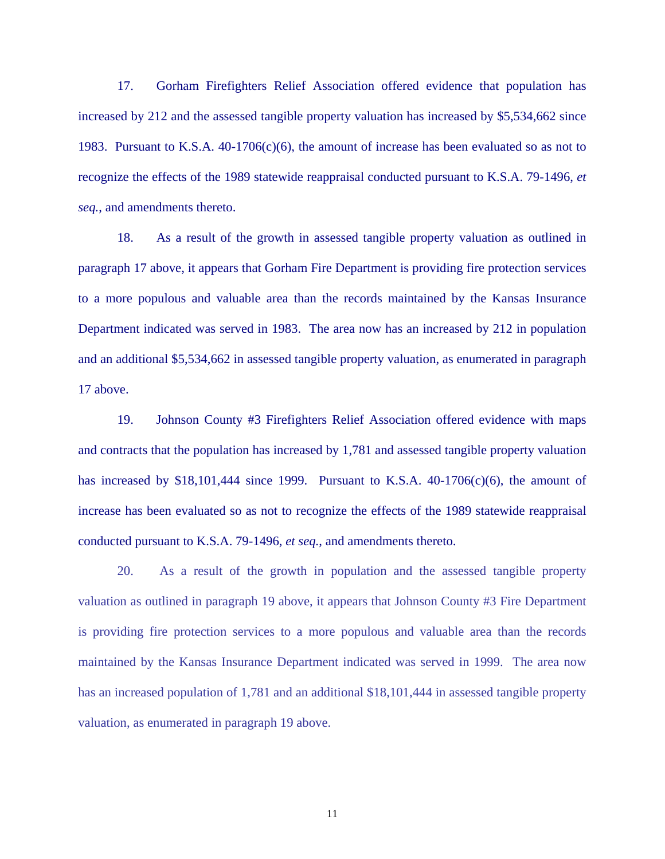17. Gorham Firefighters Relief Association offered evidence that population has increased by 212 and the assessed tangible property valuation has increased by \$5,534,662 since 1983. Pursuant to K.S.A.  $40-1706(c)(6)$ , the amount of increase has been evaluated so as not to recognize the effects of the 1989 statewide reappraisal conducted pursuant to K.S.A. 79-1496, *et seq.*, and amendments thereto.

 18. As a result of the growth in assessed tangible property valuation as outlined in paragraph 17 above, it appears that Gorham Fire Department is providing fire protection services to a more populous and valuable area than the records maintained by the Kansas Insurance Department indicated was served in 1983. The area now has an increased by 212 in population and an additional \$5,534,662 in assessed tangible property valuation, as enumerated in paragraph 17 above.

 19. Johnson County #3 Firefighters Relief Association offered evidence with maps and contracts that the population has increased by 1,781 and assessed tangible property valuation has increased by  $$18,101,444$  since 1999. Pursuant to K.S.A.  $40-1706(c)(6)$ , the amount of increase has been evaluated so as not to recognize the effects of the 1989 statewide reappraisal conducted pursuant to K.S.A. 79-1496, *et seq.*, and amendments thereto.

20. As a result of the growth in population and the assessed tangible property valuation as outlined in paragraph 19 above, it appears that Johnson County #3 Fire Department is providing fire protection services to a more populous and valuable area than the records maintained by the Kansas Insurance Department indicated was served in 1999. The area now has an increased population of 1,781 and an additional \$18,101,444 in assessed tangible property valuation, as enumerated in paragraph 19 above.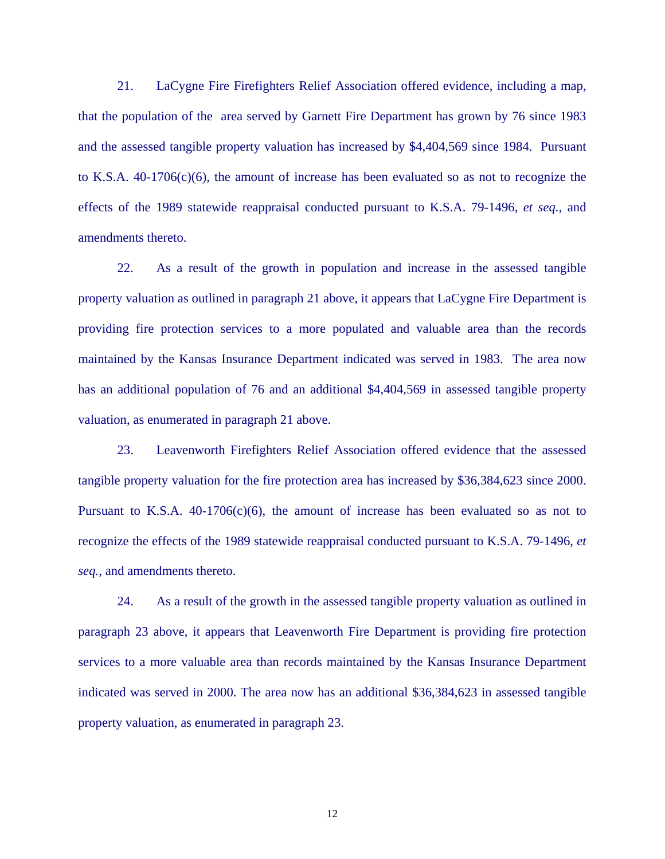21. LaCygne Fire Firefighters Relief Association offered evidence, including a map, that the population of the area served by Garnett Fire Department has grown by 76 since 1983 and the assessed tangible property valuation has increased by \$4,404,569 since 1984. Pursuant to K.S.A.  $40-1706(c)(6)$ , the amount of increase has been evaluated so as not to recognize the effects of the 1989 statewide reappraisal conducted pursuant to K.S.A. 79-1496, *et seq.*, and amendments thereto.

22. As a result of the growth in population and increase in the assessed tangible property valuation as outlined in paragraph 21 above, it appears that LaCygne Fire Department is providing fire protection services to a more populated and valuable area than the records maintained by the Kansas Insurance Department indicated was served in 1983. The area now has an additional population of 76 and an additional \$4,404,569 in assessed tangible property valuation, as enumerated in paragraph 21 above.

 23. Leavenworth Firefighters Relief Association offered evidence that the assessed tangible property valuation for the fire protection area has increased by \$36,384,623 since 2000. Pursuant to K.S.A.  $40-1706(c)(6)$ , the amount of increase has been evaluated so as not to recognize the effects of the 1989 statewide reappraisal conducted pursuant to K.S.A. 79-1496, *et seq.*, and amendments thereto.

 24. As a result of the growth in the assessed tangible property valuation as outlined in paragraph 23 above, it appears that Leavenworth Fire Department is providing fire protection services to a more valuable area than records maintained by the Kansas Insurance Department indicated was served in 2000. The area now has an additional \$36,384,623 in assessed tangible property valuation, as enumerated in paragraph 23.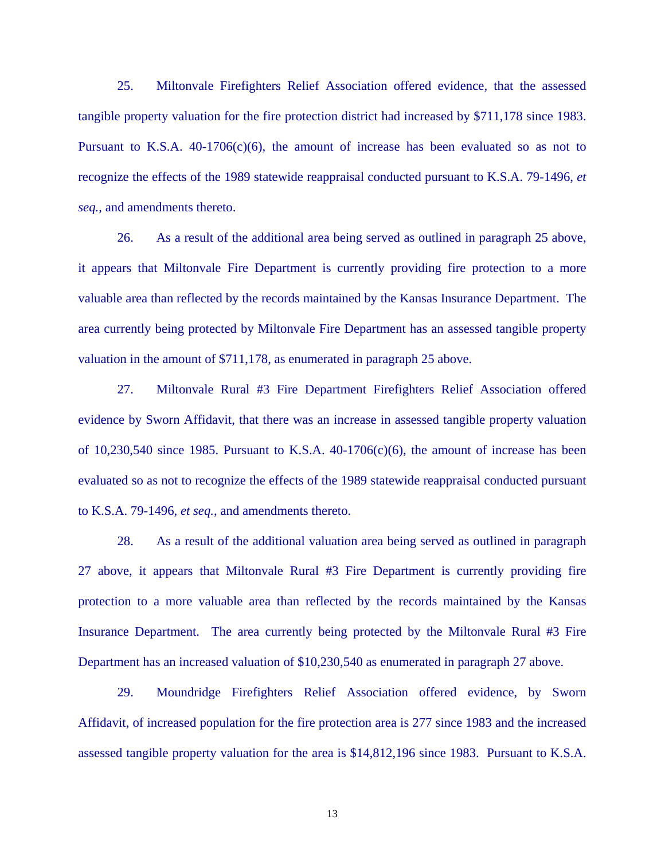25. Miltonvale Firefighters Relief Association offered evidence, that the assessed tangible property valuation for the fire protection district had increased by \$711,178 since 1983. Pursuant to K.S.A.  $40-1706(c)(6)$ , the amount of increase has been evaluated so as not to recognize the effects of the 1989 statewide reappraisal conducted pursuant to K.S.A. 79-1496, *et seq.*, and amendments thereto.

 26. As a result of the additional area being served as outlined in paragraph 25 above, it appears that Miltonvale Fire Department is currently providing fire protection to a more valuable area than reflected by the records maintained by the Kansas Insurance Department. The area currently being protected by Miltonvale Fire Department has an assessed tangible property valuation in the amount of \$711,178, as enumerated in paragraph 25 above.

 27. Miltonvale Rural #3 Fire Department Firefighters Relief Association offered evidence by Sworn Affidavit, that there was an increase in assessed tangible property valuation of 10,230,540 since 1985. Pursuant to K.S.A.  $40-1706(c)(6)$ , the amount of increase has been evaluated so as not to recognize the effects of the 1989 statewide reappraisal conducted pursuant to K.S.A. 79-1496, *et seq.*, and amendments thereto.

 28. As a result of the additional valuation area being served as outlined in paragraph 27 above, it appears that Miltonvale Rural #3 Fire Department is currently providing fire protection to a more valuable area than reflected by the records maintained by the Kansas Insurance Department. The area currently being protected by the Miltonvale Rural #3 Fire Department has an increased valuation of \$10,230,540 as enumerated in paragraph 27 above.

 29. Moundridge Firefighters Relief Association offered evidence, by Sworn Affidavit, of increased population for the fire protection area is 277 since 1983 and the increased assessed tangible property valuation for the area is \$14,812,196 since 1983. Pursuant to K.S.A.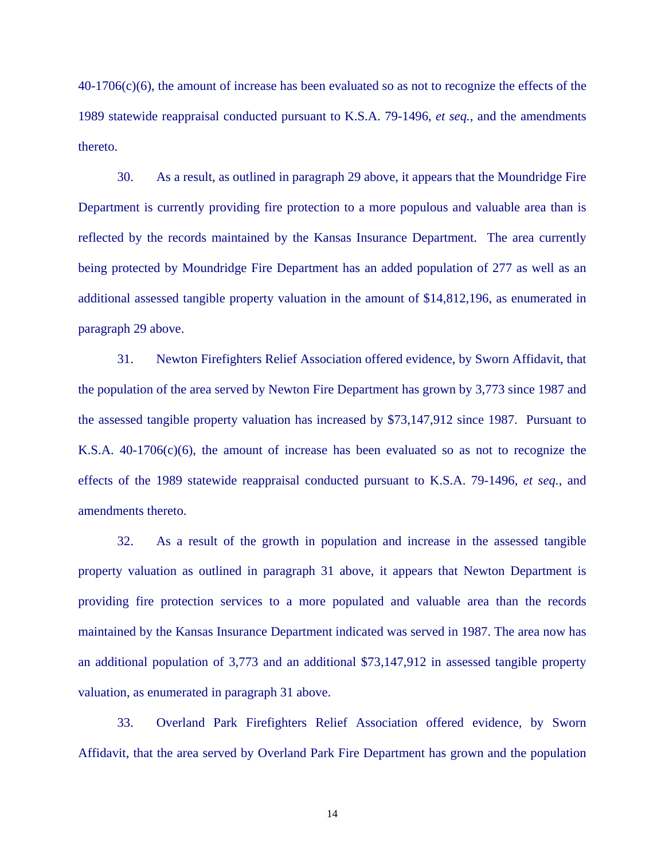40-1706(c)(6), the amount of increase has been evaluated so as not to recognize the effects of the 1989 statewide reappraisal conducted pursuant to K.S.A. 79-1496, *et seq.*, and the amendments thereto.

 30. As a result, as outlined in paragraph 29 above, it appears that the Moundridge Fire Department is currently providing fire protection to a more populous and valuable area than is reflected by the records maintained by the Kansas Insurance Department. The area currently being protected by Moundridge Fire Department has an added population of 277 as well as an additional assessed tangible property valuation in the amount of \$14,812,196, as enumerated in paragraph 29 above.

 31. Newton Firefighters Relief Association offered evidence, by Sworn Affidavit, that the population of the area served by Newton Fire Department has grown by 3,773 since 1987 and the assessed tangible property valuation has increased by \$73,147,912 since 1987. Pursuant to K.S.A.  $40-1706(c)(6)$ , the amount of increase has been evaluated so as not to recognize the effects of the 1989 statewide reappraisal conducted pursuant to K.S.A. 79-1496, *et seq.*, and amendments thereto.

 32. As a result of the growth in population and increase in the assessed tangible property valuation as outlined in paragraph 31 above, it appears that Newton Department is providing fire protection services to a more populated and valuable area than the records maintained by the Kansas Insurance Department indicated was served in 1987. The area now has an additional population of 3,773 and an additional \$73,147,912 in assessed tangible property valuation, as enumerated in paragraph 31 above.

 33. Overland Park Firefighters Relief Association offered evidence, by Sworn Affidavit, that the area served by Overland Park Fire Department has grown and the population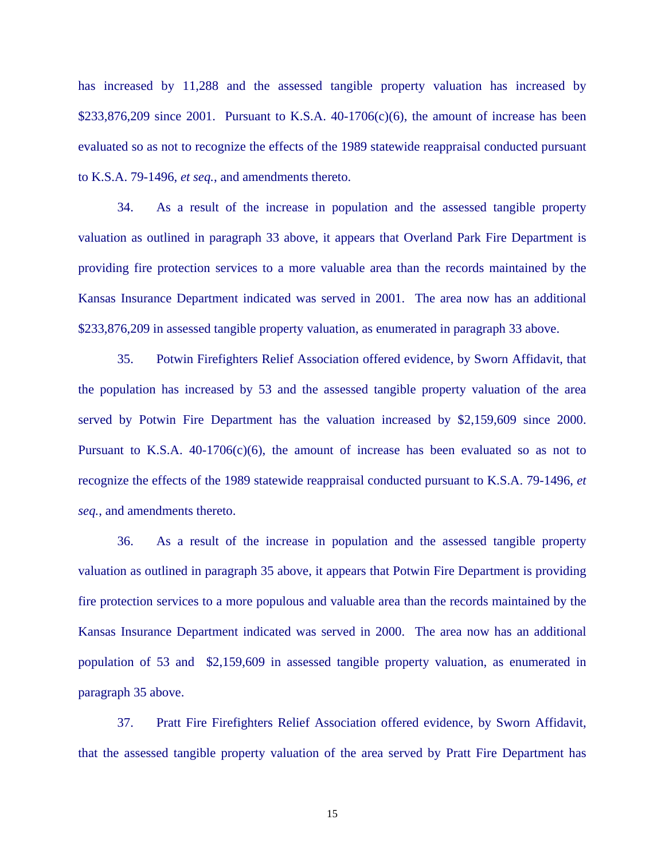has increased by 11,288 and the assessed tangible property valuation has increased by  $$233,876,209$  since 2001. Pursuant to K.S.A. 40-1706(c)(6), the amount of increase has been evaluated so as not to recognize the effects of the 1989 statewide reappraisal conducted pursuant to K.S.A. 79-1496, *et seq.*, and amendments thereto.

 34. As a result of the increase in population and the assessed tangible property valuation as outlined in paragraph 33 above, it appears that Overland Park Fire Department is providing fire protection services to a more valuable area than the records maintained by the Kansas Insurance Department indicated was served in 2001. The area now has an additional \$233,876,209 in assessed tangible property valuation, as enumerated in paragraph 33 above.

 35. Potwin Firefighters Relief Association offered evidence, by Sworn Affidavit, that the population has increased by 53 and the assessed tangible property valuation of the area served by Potwin Fire Department has the valuation increased by \$2,159,609 since 2000. Pursuant to K.S.A.  $40-1706(c)(6)$ , the amount of increase has been evaluated so as not to recognize the effects of the 1989 statewide reappraisal conducted pursuant to K.S.A. 79-1496, *et seq.*, and amendments thereto.

 36. As a result of the increase in population and the assessed tangible property valuation as outlined in paragraph 35 above, it appears that Potwin Fire Department is providing fire protection services to a more populous and valuable area than the records maintained by the Kansas Insurance Department indicated was served in 2000. The area now has an additional population of 53 and \$2,159,609 in assessed tangible property valuation, as enumerated in paragraph 35 above.

 37. Pratt Fire Firefighters Relief Association offered evidence, by Sworn Affidavit, that the assessed tangible property valuation of the area served by Pratt Fire Department has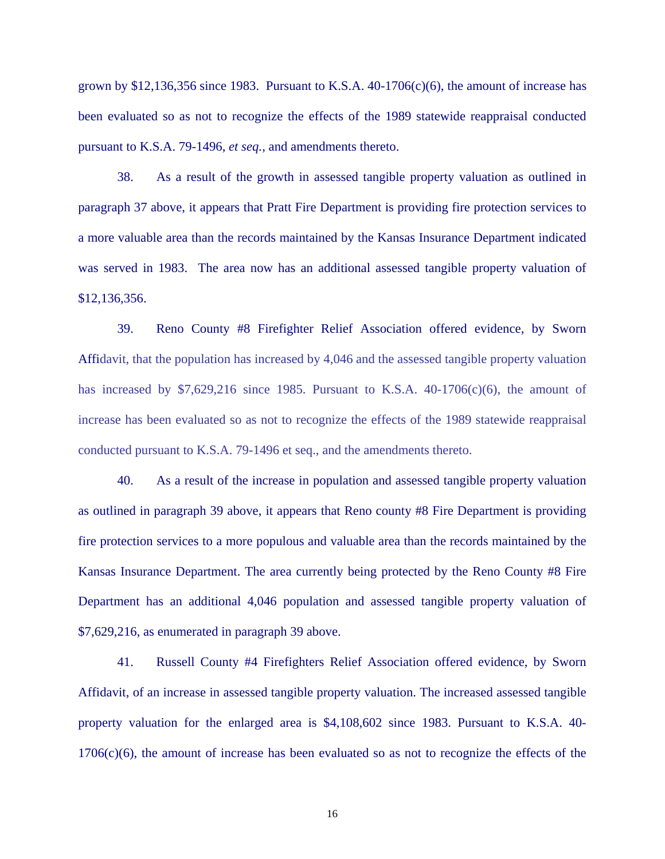grown by \$12,136,356 since 1983. Pursuant to K.S.A.  $40\n-1706(c)(6)$ , the amount of increase has been evaluated so as not to recognize the effects of the 1989 statewide reappraisal conducted pursuant to K.S.A. 79-1496, *et seq.*, and amendments thereto.

38. As a result of the growth in assessed tangible property valuation as outlined in paragraph 37 above, it appears that Pratt Fire Department is providing fire protection services to a more valuable area than the records maintained by the Kansas Insurance Department indicated was served in 1983. The area now has an additional assessed tangible property valuation of \$12,136,356.

 39. Reno County #8 Firefighter Relief Association offered evidence, by Sworn Affidavit, that the population has increased by 4,046 and the assessed tangible property valuation has increased by  $$7,629,216$  since 1985. Pursuant to K.S.A. 40-1706(c)(6), the amount of increase has been evaluated so as not to recognize the effects of the 1989 statewide reappraisal conducted pursuant to K.S.A. 79-1496 et seq., and the amendments thereto.

40. As a result of the increase in population and assessed tangible property valuation as outlined in paragraph 39 above, it appears that Reno county #8 Fire Department is providing fire protection services to a more populous and valuable area than the records maintained by the Kansas Insurance Department. The area currently being protected by the Reno County #8 Fire Department has an additional 4,046 population and assessed tangible property valuation of \$7,629,216, as enumerated in paragraph 39 above.

41. Russell County #4 Firefighters Relief Association offered evidence, by Sworn Affidavit, of an increase in assessed tangible property valuation. The increased assessed tangible property valuation for the enlarged area is \$4,108,602 since 1983. Pursuant to K.S.A. 40- 1706(c)(6), the amount of increase has been evaluated so as not to recognize the effects of the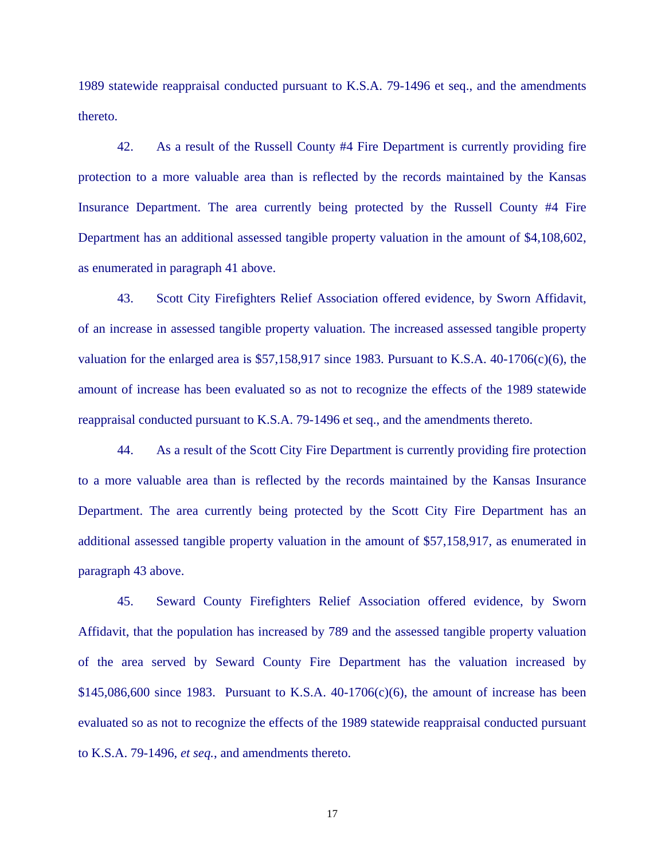1989 statewide reappraisal conducted pursuant to K.S.A. 79-1496 et seq., and the amendments thereto.

 42. As a result of the Russell County #4 Fire Department is currently providing fire protection to a more valuable area than is reflected by the records maintained by the Kansas Insurance Department. The area currently being protected by the Russell County #4 Fire Department has an additional assessed tangible property valuation in the amount of \$4,108,602, as enumerated in paragraph 41 above.

43. Scott City Firefighters Relief Association offered evidence, by Sworn Affidavit, of an increase in assessed tangible property valuation. The increased assessed tangible property valuation for the enlarged area is \$57,158,917 since 1983. Pursuant to K.S.A. 40-1706(c)(6), the amount of increase has been evaluated so as not to recognize the effects of the 1989 statewide reappraisal conducted pursuant to K.S.A. 79-1496 et seq., and the amendments thereto.

44. As a result of the Scott City Fire Department is currently providing fire protection to a more valuable area than is reflected by the records maintained by the Kansas Insurance Department. The area currently being protected by the Scott City Fire Department has an additional assessed tangible property valuation in the amount of \$57,158,917, as enumerated in paragraph 43 above.

 45. Seward County Firefighters Relief Association offered evidence, by Sworn Affidavit, that the population has increased by 789 and the assessed tangible property valuation of the area served by Seward County Fire Department has the valuation increased by  $$145,086,600$  since 1983. Pursuant to K.S.A.  $40-1706(c)(6)$ , the amount of increase has been evaluated so as not to recognize the effects of the 1989 statewide reappraisal conducted pursuant to K.S.A. 79-1496, *et seq.*, and amendments thereto.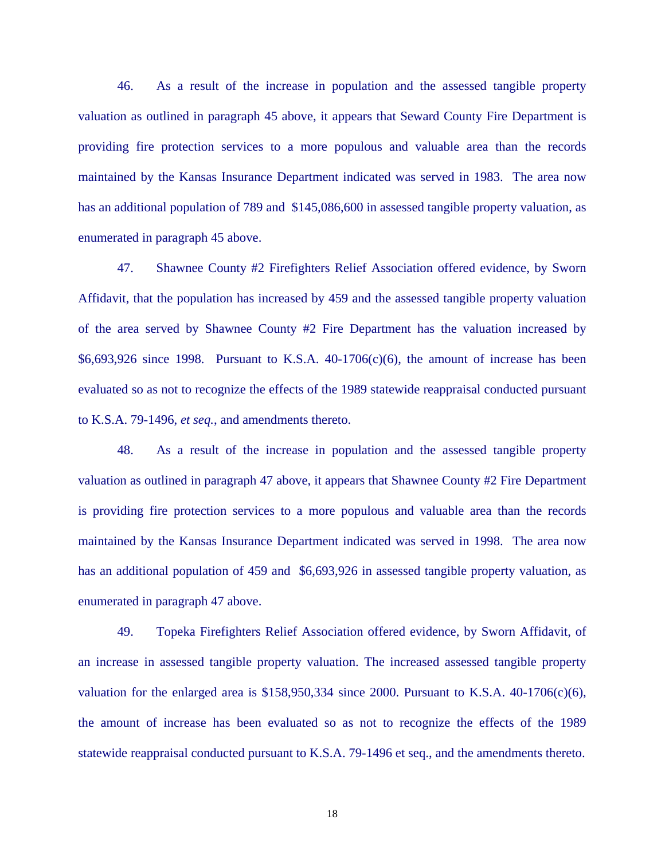46. As a result of the increase in population and the assessed tangible property valuation as outlined in paragraph 45 above, it appears that Seward County Fire Department is providing fire protection services to a more populous and valuable area than the records maintained by the Kansas Insurance Department indicated was served in 1983. The area now has an additional population of 789 and \$145,086,600 in assessed tangible property valuation, as enumerated in paragraph 45 above.

 47. Shawnee County #2 Firefighters Relief Association offered evidence, by Sworn Affidavit, that the population has increased by 459 and the assessed tangible property valuation of the area served by Shawnee County #2 Fire Department has the valuation increased by  $$6,693,926$  since 1998. Pursuant to K.S.A. 40-1706(c)(6), the amount of increase has been evaluated so as not to recognize the effects of the 1989 statewide reappraisal conducted pursuant to K.S.A. 79-1496, *et seq.*, and amendments thereto.

48. As a result of the increase in population and the assessed tangible property valuation as outlined in paragraph 47 above, it appears that Shawnee County #2 Fire Department is providing fire protection services to a more populous and valuable area than the records maintained by the Kansas Insurance Department indicated was served in 1998. The area now has an additional population of 459 and \$6,693,926 in assessed tangible property valuation, as enumerated in paragraph 47 above.

49. Topeka Firefighters Relief Association offered evidence, by Sworn Affidavit, of an increase in assessed tangible property valuation. The increased assessed tangible property valuation for the enlarged area is  $$158,950,334$  since 2000. Pursuant to K.S.A. 40-1706(c)(6), the amount of increase has been evaluated so as not to recognize the effects of the 1989 statewide reappraisal conducted pursuant to K.S.A. 79-1496 et seq., and the amendments thereto.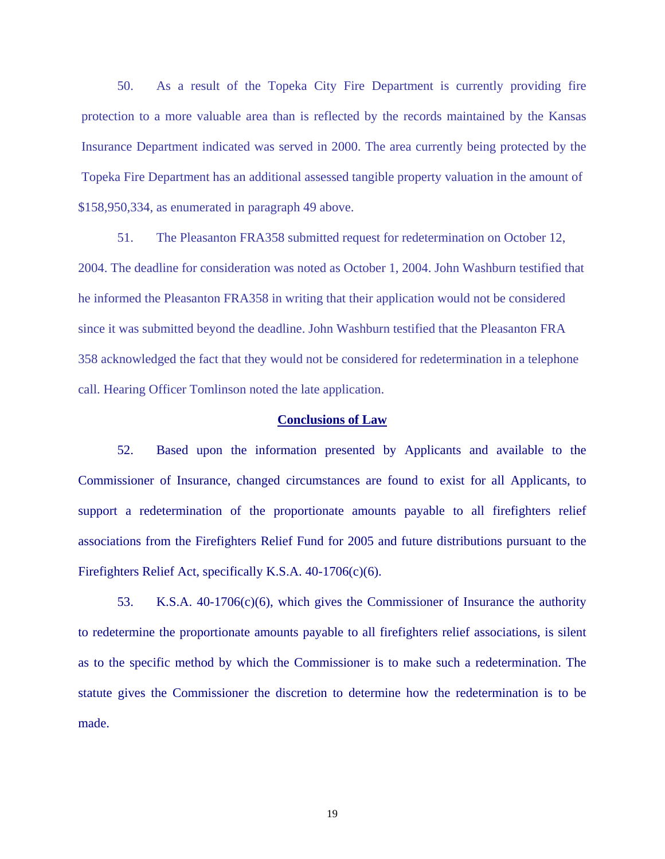50. As a result of the Topeka City Fire Department is currently providing fire protection to a more valuable area than is reflected by the records maintained by the Kansas Insurance Department indicated was served in 2000. The area currently being protected by the Topeka Fire Department has an additional assessed tangible property valuation in the amount of \$158,950,334, as enumerated in paragraph 49 above.

 51. The Pleasanton FRA358 submitted request for redetermination on October 12, 2004. The deadline for consideration was noted as October 1, 2004. John Washburn testified that he informed the Pleasanton FRA358 in writing that their application would not be considered since it was submitted beyond the deadline. John Washburn testified that the Pleasanton FRA 358 acknowledged the fact that they would not be considered for redetermination in a telephone call. Hearing Officer Tomlinson noted the late application.

### **Conclusions of Law**

 52. Based upon the information presented by Applicants and available to the Commissioner of Insurance, changed circumstances are found to exist for all Applicants, to support a redetermination of the proportionate amounts payable to all firefighters relief associations from the Firefighters Relief Fund for 2005 and future distributions pursuant to the Firefighters Relief Act, specifically K.S.A. 40-1706(c)(6).

 53. K.S.A. 40-1706(c)(6), which gives the Commissioner of Insurance the authority to redetermine the proportionate amounts payable to all firefighters relief associations, is silent as to the specific method by which the Commissioner is to make such a redetermination. The statute gives the Commissioner the discretion to determine how the redetermination is to be made.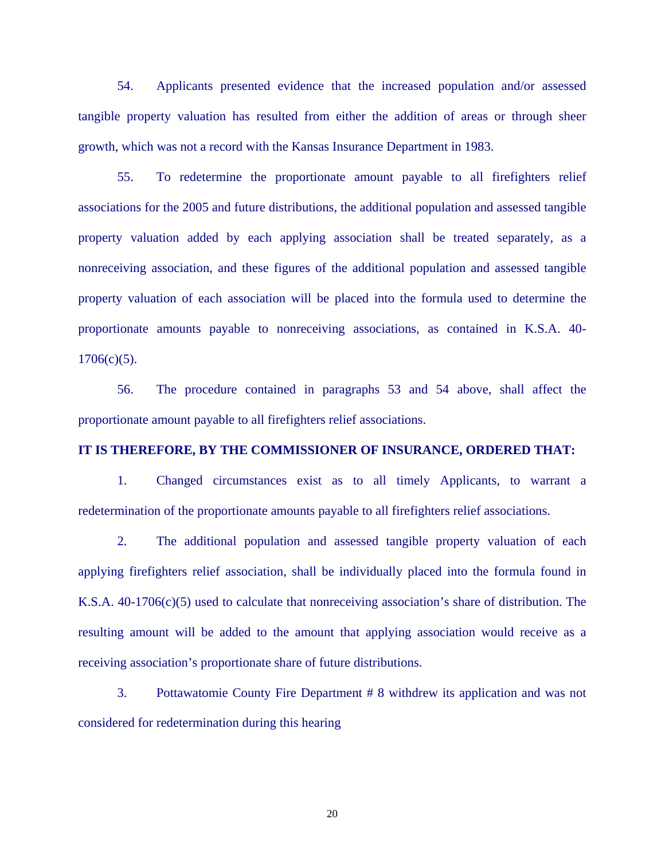54. Applicants presented evidence that the increased population and/or assessed tangible property valuation has resulted from either the addition of areas or through sheer growth, which was not a record with the Kansas Insurance Department in 1983.

55. To redetermine the proportionate amount payable to all firefighters relief associations for the 2005 and future distributions, the additional population and assessed tangible property valuation added by each applying association shall be treated separately, as a nonreceiving association, and these figures of the additional population and assessed tangible property valuation of each association will be placed into the formula used to determine the proportionate amounts payable to nonreceiving associations, as contained in K.S.A. 40-  $1706(c)(5)$ .

56. The procedure contained in paragraphs 53 and 54 above, shall affect the proportionate amount payable to all firefighters relief associations.

# **IT IS THEREFORE, BY THE COMMISSIONER OF INSURANCE, ORDERED THAT:**

 1. Changed circumstances exist as to all timely Applicants, to warrant a redetermination of the proportionate amounts payable to all firefighters relief associations.

 2. The additional population and assessed tangible property valuation of each applying firefighters relief association, shall be individually placed into the formula found in K.S.A. 40-1706(c)(5) used to calculate that nonreceiving association's share of distribution. The resulting amount will be added to the amount that applying association would receive as a receiving association's proportionate share of future distributions.

 3. Pottawatomie County Fire Department # 8 withdrew its application and was not considered for redetermination during this hearing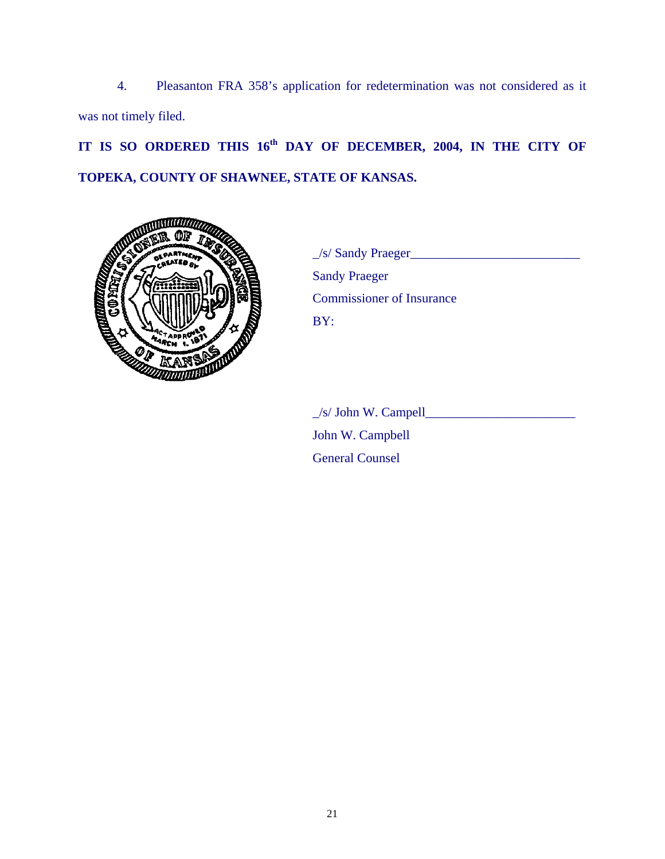4. Pleasanton FRA 358's application for redetermination was not considered as it was not timely filed.

**IT IS SO ORDERED THIS 16th DAY OF DECEMBER, 2004, IN THE CITY OF TOPEKA, COUNTY OF SHAWNEE, STATE OF KANSAS.** 



PARTMENT VALUE /S/ Sandy Praeger Sandy Praeger Commissioner of Insurance

> $\angle$ s/ John W. Campell John W. Campbell General Counsel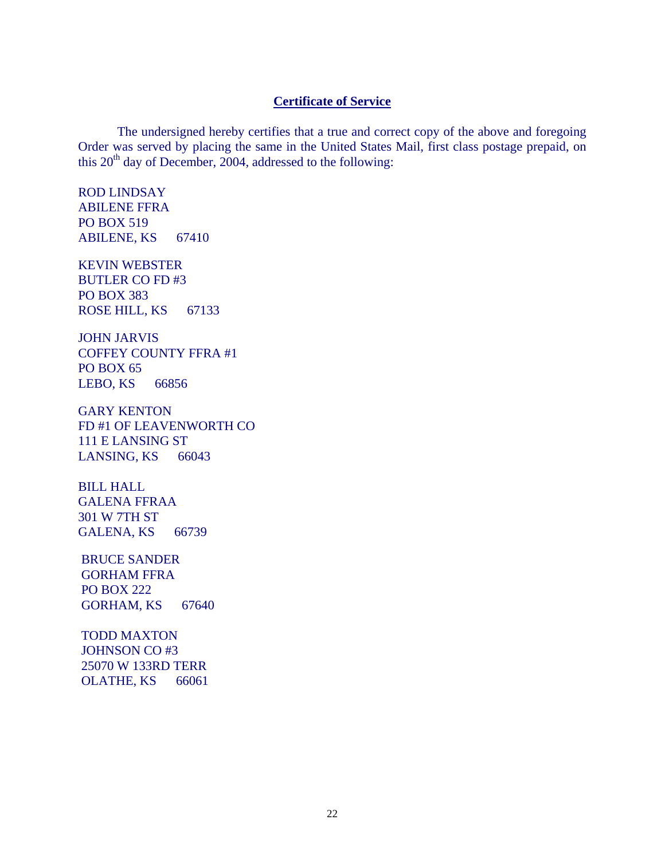# **Certificate of Service**

 The undersigned hereby certifies that a true and correct copy of the above and foregoing Order was served by placing the same in the United States Mail, first class postage prepaid, on this  $20<sup>th</sup>$  day of December, 2004, addressed to the following:

ROD LINDSAY ABILENE FFRA PO BOX 519 ABILENE, KS 67410

KEVIN WEBSTER BUTLER CO FD #3 PO BOX 383 ROSE HILL, KS 67133

JOHN JARVIS COFFEY COUNTY FFRA #1 PO BOX 65 LEBO, KS 66856

GARY KENTON FD #1 OF LEAVENWORTH CO 111 E LANSING ST LANSING, KS 66043

BILL HALL GALENA FFRAA 301 W 7TH ST GALENA, KS 66739

BRUCE SANDER GORHAM FFRA PO BOX 222 GORHAM, KS 67640

TODD MAXTON JOHNSON CO #3 25070 W 133RD TERR OLATHE, KS 66061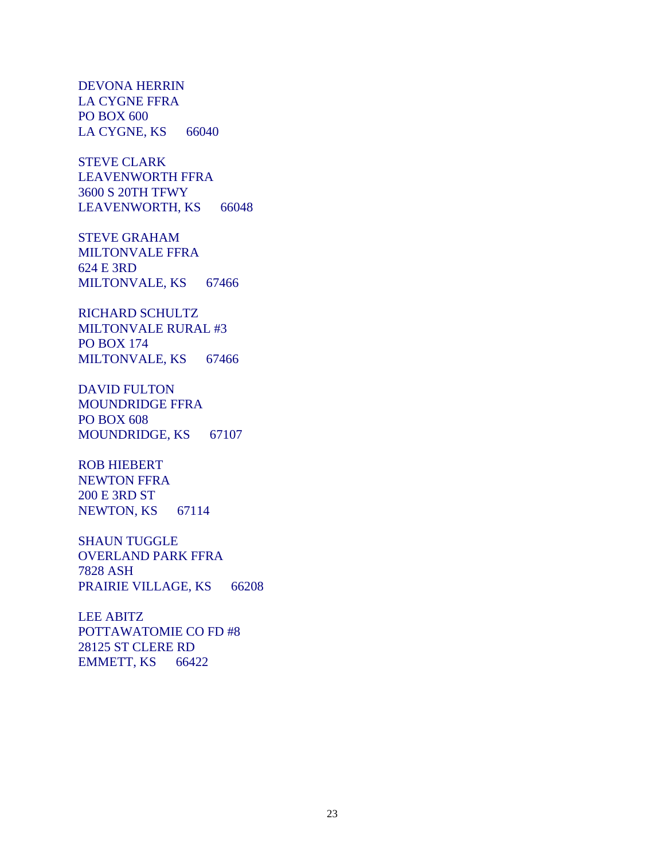DEVONA HERRIN LA CYGNE FFRA PO BOX 600 LA CYGNE, KS 66040

STEVE CLARK LEAVENWORTH FFRA 3600 S 20TH TFWY LEAVENWORTH, KS 66048

STEVE GRAHAM MILTONVALE FFRA 624 E 3RD MILTONVALE, KS 67466

RICHARD SCHULTZ MILTONVALE RURAL #3 PO BOX 174 MILTONVALE, KS 67466

DAVID FULTON MOUNDRIDGE FFRA PO BOX 608 MOUNDRIDGE, KS 67107

ROB HIEBERT NEWTON FFRA 200 E 3RD ST NEWTON, KS 67114

SHAUN TUGGLE OVERLAND PARK FFRA 7828 ASH PRAIRIE VILLAGE, KS 66208

LEE ABITZ POTTAWATOMIE CO FD #8 28125 ST CLERE RD EMMETT, KS 66422